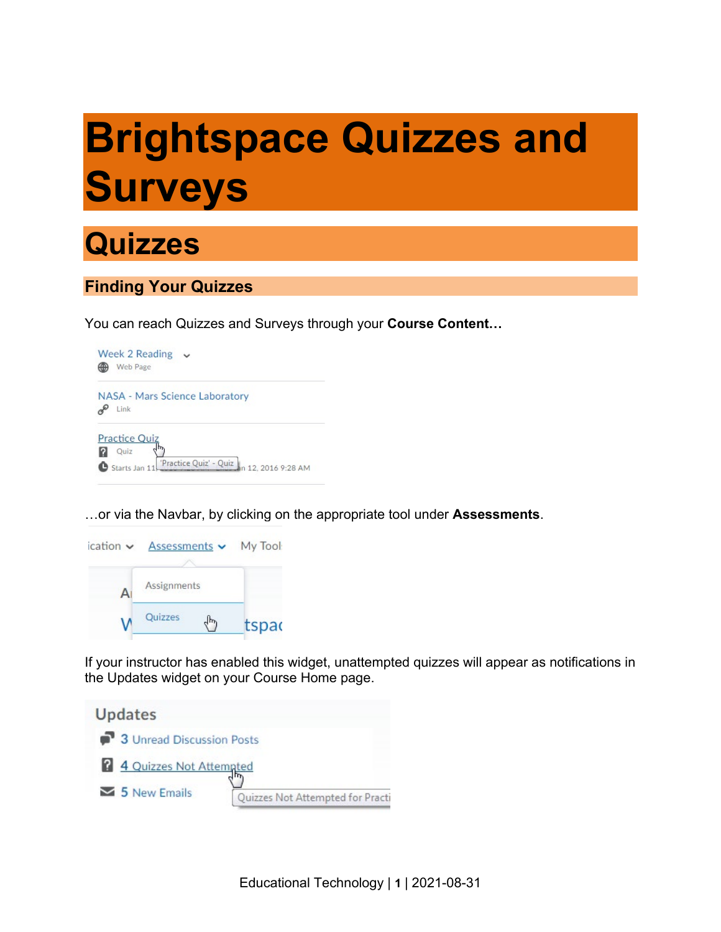# **Brightspace Quizzes and Surveys**



## **Finding Your Quizzes**

You can reach Quizzes and Surveys through your **Course Content…**



…or via the Navbar, by clicking on the appropriate tool under **Assessments**.



If your instructor has enabled this widget, unattempted quizzes will appear as notifications in the Updates widget on your Course Home page.

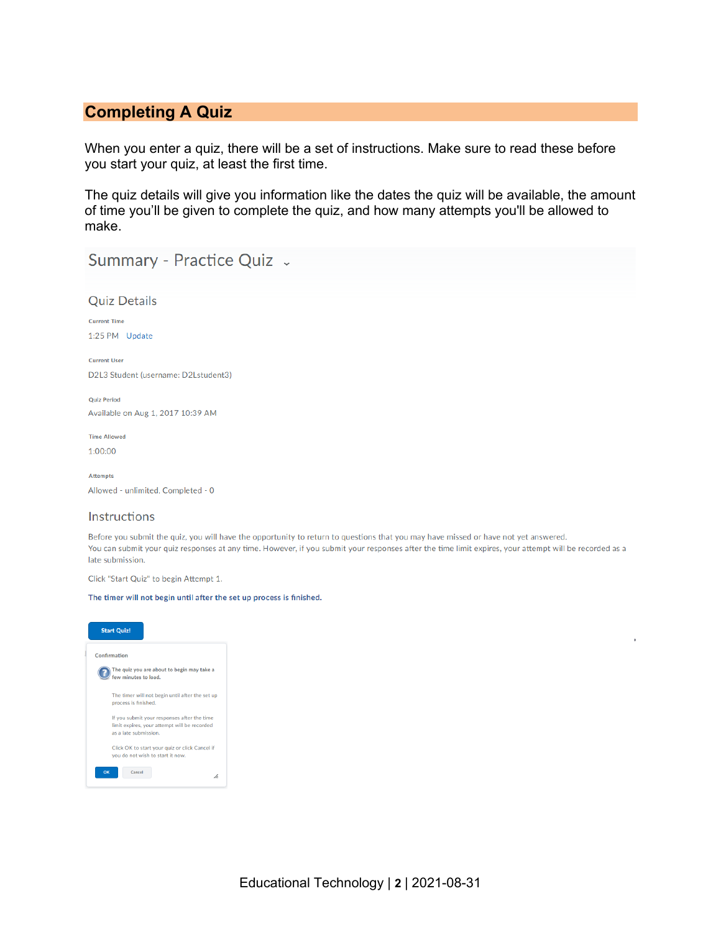## **Completing A Quiz**

When you enter a quiz, there will be a set of instructions. Make sure to read these before you start your quiz, at least the first time.

The quiz details will give you information like the dates the quiz will be available, the amount of time you'll be given to complete the quiz, and how many attempts you'll be allowed to make.

Summary - Practice Quiz .

| <b>Quiz Details</b>                  |  |  |  |  |  |  |
|--------------------------------------|--|--|--|--|--|--|
| <b>Current Time</b>                  |  |  |  |  |  |  |
| 1:25 PM Update                       |  |  |  |  |  |  |
|                                      |  |  |  |  |  |  |
| <b>Current User</b>                  |  |  |  |  |  |  |
| D2L3 Student (username: D2Lstudent3) |  |  |  |  |  |  |
| <b>Quiz Period</b>                   |  |  |  |  |  |  |
| Available on Aug 1, 2017 10:39 AM    |  |  |  |  |  |  |
| <b>Time Allowed</b>                  |  |  |  |  |  |  |
| 1:00:00                              |  |  |  |  |  |  |
| <b>Attempts</b>                      |  |  |  |  |  |  |
| Allowed - unlimited, Completed - 0   |  |  |  |  |  |  |
| Instructions                         |  |  |  |  |  |  |

#### Before you submit the quiz, you will have the opportunity to return to questions that you may have missed or have not yet answered. You can submit your quiz responses at any time. However, if you submit your responses after the time limit expires, your attempt will be recorded as a late submission.

Click "Start Quiz" to begin Attempt 1.

#### The timer will not begin until after the set up process is finished.

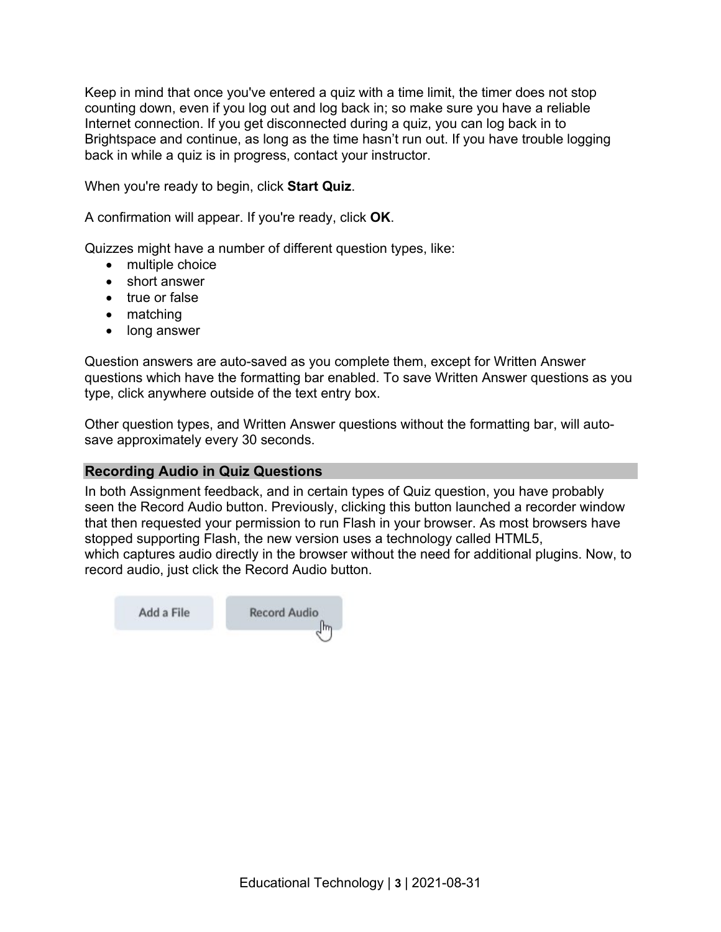Keep in mind that once you've entered a quiz with a time limit, the timer does not stop counting down, even if you log out and log back in; so make sure you have a reliable Internet connection. If you get disconnected during a quiz, you can log back in to Brightspace and continue, as long as the time hasn't run out. If you have trouble logging back in while a quiz is in progress, contact your instructor.

When you're ready to begin, click **Start Quiz**.

A confirmation will appear. If you're ready, click **OK**.

Quizzes might have a number of different question types, like:

- multiple choice
- short answer
- true or false
- matching
- long answer

Question answers are auto-saved as you complete them, except for Written Answer questions which have the formatting bar enabled. To save Written Answer questions as you type, click anywhere outside of the text entry box.

Other question types, and Written Answer questions without the formatting bar, will autosave approximately every 30 seconds.

### **Recording Audio in Quiz Questions**

In both Assignment feedback, and in certain types of Quiz question, you have probably seen the Record Audio button. Previously, clicking this button launched a recorder window that then requested your permission to run Flash in your browser. As most browsers have stopped supporting Flash, the new version uses a technology called HTML5, which captures audio directly in the browser without the need for additional plugins. Now, to record audio, just click the Record Audio button.

Add a File

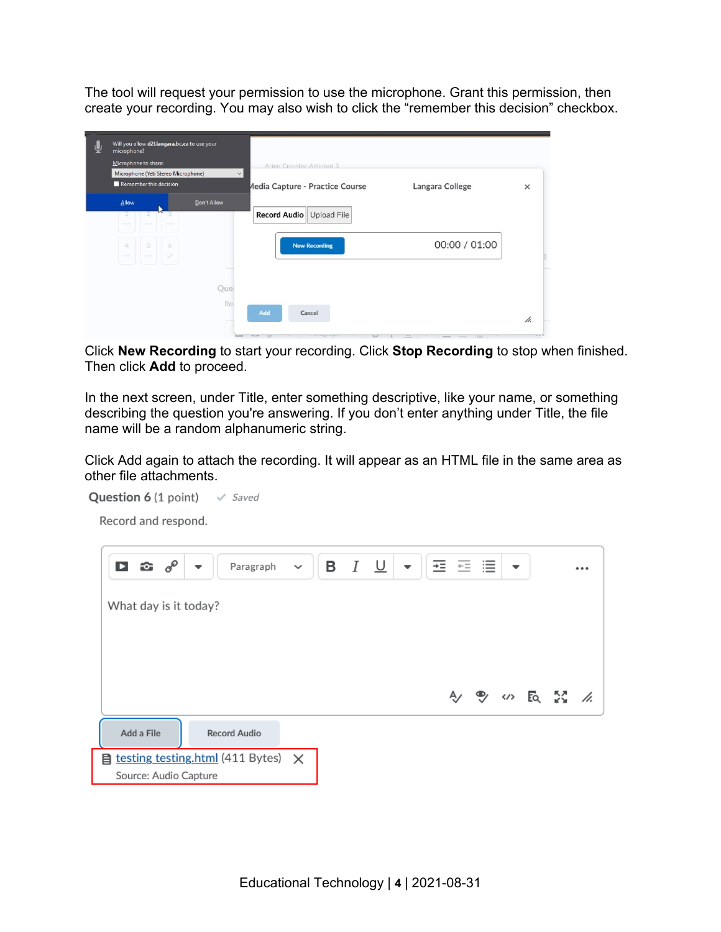The tool will request your permission to use the microphone. Grant this permission, then create your recording. You may also wish to click the "remember this decision" checkbox.

|  | Will you allow d2l.langara.bc.ca to use your<br>microphone?<br>Microphone to share:<br>Microphone (Yeti Stereo Microphone)<br>$\vee$<br>Remember this decision |             |                                                                                       |               |          |
|--|----------------------------------------------------------------------------------------------------------------------------------------------------------------|-------------|---------------------------------------------------------------------------------------|---------------|----------|
|  |                                                                                                                                                                |             | Arien Crossby: Attempt 3<br><b>Media Capture - Practice Course</b><br>Langara College |               |          |
|  |                                                                                                                                                                |             |                                                                                       |               |          |
|  |                                                                                                                                                                |             |                                                                                       |               | $\times$ |
|  | Allow                                                                                                                                                          | Don't Allow |                                                                                       |               |          |
|  | <b>STATISTICS</b><br>--                                                                                                                                        |             | Record Audio Upload File                                                              |               |          |
|  | 5<br>$\mathcal{A}$<br>6                                                                                                                                        |             | <b>New Recording</b>                                                                  | 00:00 / 01:00 |          |
|  | $\sim$<br><b>COLLEGE</b><br><b>COLOR</b>                                                                                                                       |             |                                                                                       |               |          |
|  |                                                                                                                                                                |             |                                                                                       |               |          |
|  |                                                                                                                                                                | Que<br>Rei  |                                                                                       |               |          |
|  |                                                                                                                                                                |             | Add<br>Cancel                                                                         |               | h.       |
|  |                                                                                                                                                                |             |                                                                                       |               |          |

Click **New Recording** to start your recording. Click **Stop Recording** to stop when finished. Then click **Add** to proceed.

In the next screen, under Title, enter something descriptive, like your name, or something describing the question you're answering. If you don't enter anything under Title, the file name will be a random alphanumeric string.

Click Add again to attach the recording. It will appear as an HTML file in the same area as other file attachments.

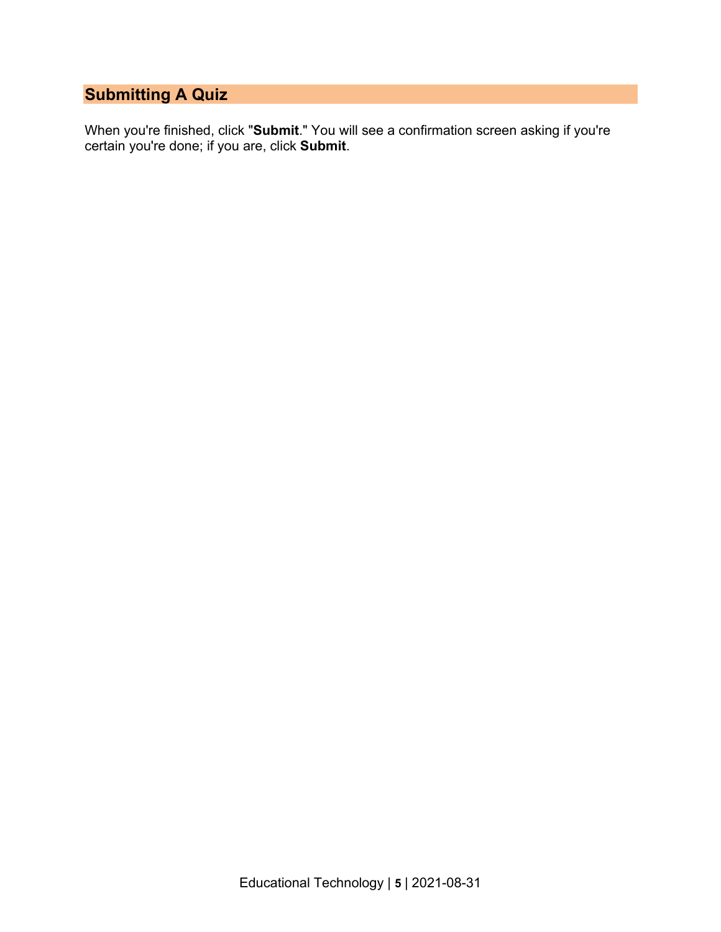## **Submitting A Quiz**

When you're finished, click "**Submit**." You will see a confirmation screen asking if you're certain you're done; if you are, click **Submit**.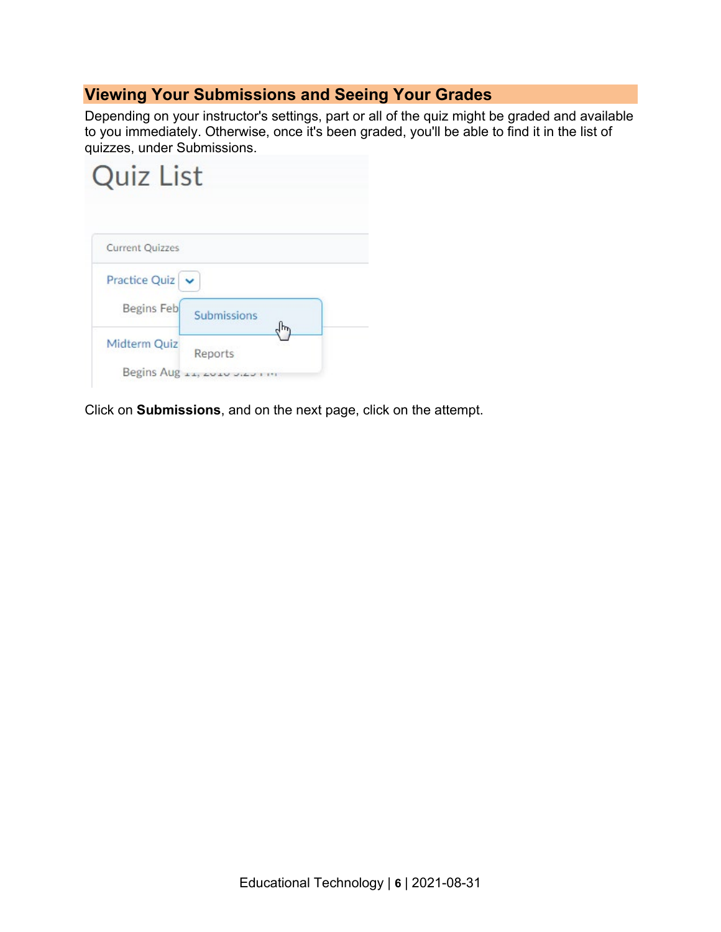## **Viewing Your Submissions and Seeing Your Grades**

Depending on your instructor's settings, part or all of the quiz might be graded and available to you immediately. Otherwise, once it's been graded, you'll be able to find it in the list of quizzes, under Submissions.



Click on **Submissions**, and on the next page, click on the attempt.